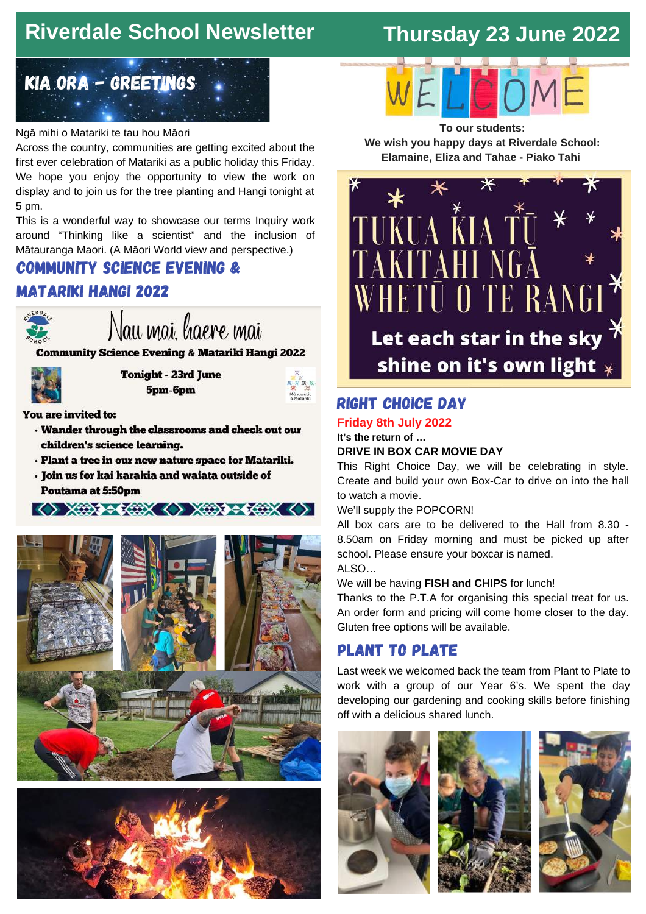# **Riverdale School Newsletter**

# **Thursday 23 June 2022**



### Ngā mihi o Matariki te tau hou Māori

Across the country, communities are getting excited about the first ever celebration of Matariki as a public holiday this Friday. We hope you enjoy the opportunity to view the work on display and to join us for the tree planting and Hangi tonight at 5 pm.

This is a wonderful way to showcase our terms Inquiry work around "Thinking like a scientist" and the inclusion of Mātauranga Maori. (A Māori World view and perspective.)

## community science evening &

## Matariki hangi 2022



Nau mai. laere mai

**Community Science Evening & Matariki Hangi 2022** 



**Tonight - 23rd June** 5pm-6pm



You are invited to:

- . Wander through the classrooms and check out our children's science learning.
- · Plant a tree in our new nature space for Matariki.
- · Join us for kai karakia and waiata outside of **Poutama at 5:50pm**







**To our students: We wish you happy days at Riverdale School: Elamaine, Eliza and Tahae - Piako Tahi**



## right choice day

#### **Friday 8th July 2022 It's the return of …**

### **DRIVE IN BOX CAR MOVIE DAY**

This Right Choice Day, we will be celebrating in style. Create and build your own Box-Car to drive on into the hall to watch a movie.

### We'll supply the POPCORN!

All box cars are to be delivered to the Hall from 8.30 - 8.50am on Friday morning and must be picked up after school. Please ensure your boxcar is named.

ALSO…

### We will be having **FISH and CHIPS** for lunch!

Thanks to the P.T.A for organising this special treat for us. An order form and pricing will come home closer to the day. Gluten free options will be available.

## plant to plate

Last week we welcomed back the team from Plant to Plate to work with a group of our Year 6's. We spent the day developing our gardening and cooking skills before finishing off with a delicious shared lunch.